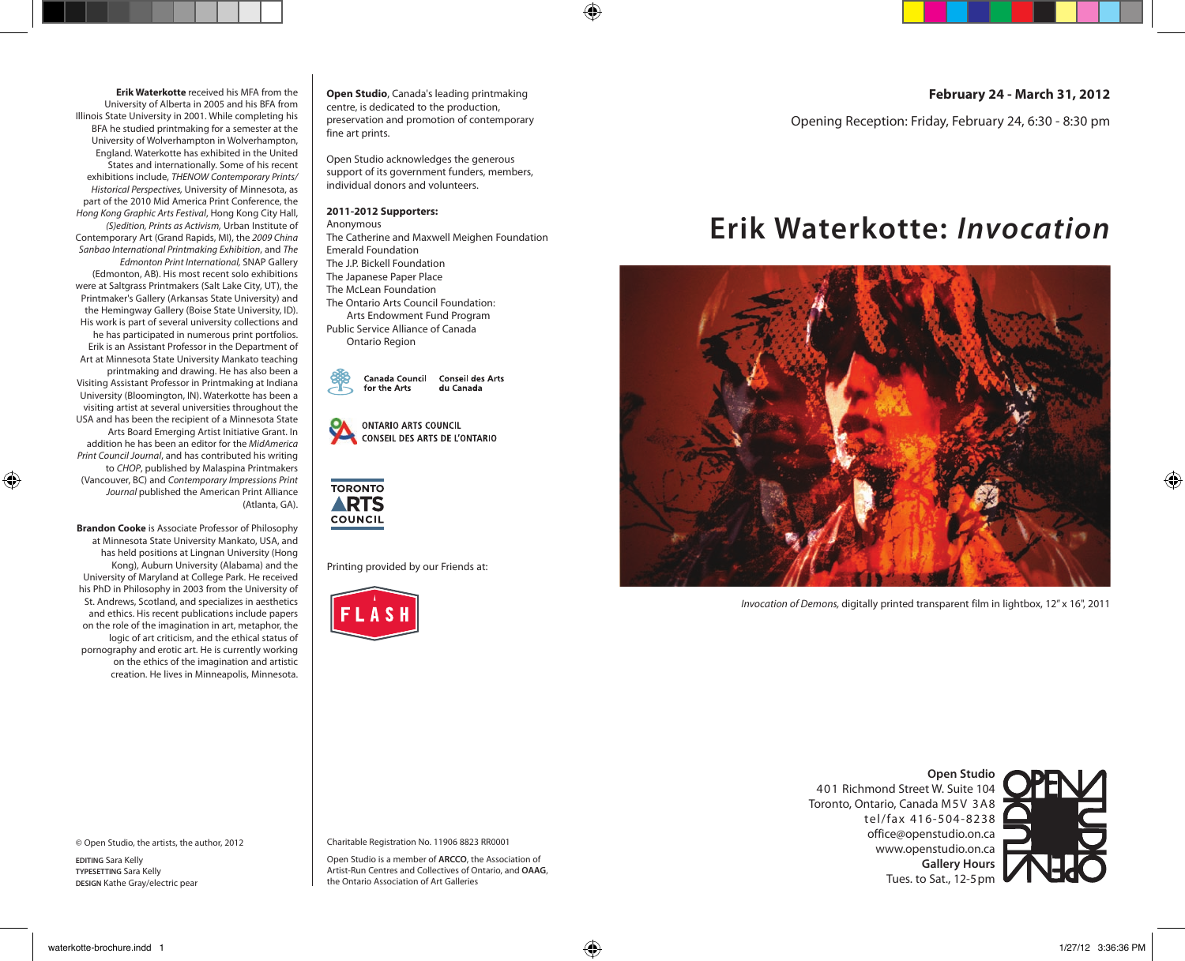**Erik Waterkotte** received his MFA from the University of Alberta in 2005 and his BFA from Illinois State University in 2001. While completing his BFA he studied printmaking for a semester at the University of Wolverhampton in Wolverhampton, England. Waterkotte has exhibited in the United States and internationally. Some of his recent exhibitions include, *THENOW Contemporary Prints/ Historical Perspectives,* University of Minnesota, as part of the 2010 Mid America Print Conference, the *Hong Kong Graphic Arts Festival*, Hong Kong City Hall, *(S)edition, Prints as Activism,* Urban Institute of Contemporary Art (Grand Rapids, MI), the *2009 China Sanbao International Printmaking Exhibition*, and *The Edmonton Print International,* SNAP Gallery (Edmonton, AB). His most recent solo exhibitions were at Saltgrass Printmakers (Salt Lake City, UT), the Printmaker's Gallery (Arkansas State University) and the Hemingway Gallery (Boise State University, ID). His work is part of several university collections and he has participated in numerous print portfolios. Erik is an Assistant Professor in the Department of Art at Minnesota State University Mankato teaching printmaking and drawing. He has also been a Visiting Assistant Professor in Printmaking at Indiana University (Bloomington, IN). Waterkotte has been a visiting artist at several universities throughout the USA and has been the recipient of a Minnesota State Arts Board Emerging Artist Initiative Grant. In addition he has been an editor for the *MidAmerica Print Council Journal*, and has contributed his writing to *CHOP*, published by Malaspina Printmakers (Vancouver, BC) and *Contemporary Impressions Print Journal* published the American Print Alliance (Atlanta, GA).

**Brandon Cooke** is Associate Professor of Philosophy at Minnesota State University Mankato, USA, and has held positions at Lingnan University (Hong Kong), Auburn University (Alabama) and the University of Maryland at College Park. He received his PhD in Philosophy in 2003 from the University of St. Andrews, Scotland, and specializes in aesthetics and ethics. His recent publications include papers on the role of the imagination in art, metaphor, the logic of art criticism, and the ethical status of pornography and erotic art. He is currently working on the ethics of the imagination and artistic creation. He lives in Minneapolis, Minnesota.

© Open Studio, the artists, the author, 2012

**EDITING** Sara Kelly **TYPESETTING** Sara Kelly **DESIGN** Kathe Gray/electric pear **Open Studio**, Canada's leading printmaking centre, is dedicated to the production, preservation and promotion of contemporary fine art prints.

Open Studio acknowledges the generous support of its government funders, members, individual donors and volunteers.

## **2011-2012 Supporters:**

Anonymous The Catherine and Maxwell Meighen Foundation Emerald Foundation The J.P. Bickell Foundation The Japanese Paper Place The McLean Foundation The Ontario Arts Council Foundation: Arts Endowment Fund Program Public Service Alliance of Canada

Ontario Region

Canada Council **Conseil des Arts** for the Arts du Canada Pantone version

| ଊ | <b>ONTARIO ARTS COUNCIL</b>   |  |  |  |
|---|-------------------------------|--|--|--|
|   | CONSEIL DES ARTS DE L'ONTARIO |  |  |  |



Printing provided by our Friends at:



| February 24 - March 31, 2012 |  |  |  |  |
|------------------------------|--|--|--|--|
|------------------------------|--|--|--|--|

Opening Reception: Friday, February 24, 6:30 - 8:30 pm

## **Erik Waterkotte:** *Invocation*



*Invocation of Demons,* digitally printed transparent film in lightbox, 12" x 16", 2011

**Open Studio** 401 Richmond Street W. Suite 104 Toronto, Ontario, Canada M5V 3A8 tel/fax 416-504-8238 office@openstudio.on.ca www.openstudio.on.ca **Gallery Hours**  Tues. to Sat., 12-5pm

Charitable Registration No. 11906 8823 RR0001

Open Studio is a member of **ARCCO**, the Association of Artist-Run Centres and Collectives of Ontario, and **OAAG**, the Ontario Association of Art Galleries